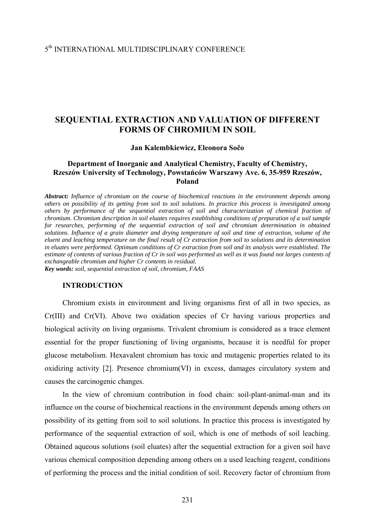# **SEQUENTIAL EXTRACTION AND VALUATION OF DIFFERENT FORMS OF CHROMIUM IN SOIL**

#### **Jan Kalembkiewicz, Eleonora Sočo**

# **Department of Inorganic and Analytical Chemistry, Faculty of Chemistry, Rzeszów University of Technology, Powstańców Warszawy Ave. 6, 35-959 Rzeszów, Poland**

*Abstract: Influence of chromium on the course of biochemical reactions in the environment depends among others on possibility of its getting from soil to soil solutions. In practice this process is investigated among others by performance of the sequential extraction of soil and characterization of chemical fraction of chromium. Chromium description in soil eluates requires establishing conditions of preparation of a soil sample for researches, performing of the sequential extraction of soil and chromium determination in obtained solutions. Influence of a grain diameter and drying temperature of soil and time of extraction, volume of the eluent and leaching temperature on the final result of Cr extraction from soil to solutions and its determination in eluates were performed. Optimum conditions of Cr extraction from soil and its analysis were established. The estimate of contents of various fraction of Cr in soil was performed as well as it was found not larges contents of exchangeable chromium and higher Cr contents in residual. Key words: soil, sequential extraction of soil, chromium, FAAS* 

#### **INTRODUCTION**

 Chromium exists in environment and living organisms first of all in two species, as Cr(III) and Cr(VI). Above two oxidation species of Cr having various properties and biological activity on living organisms. Trivalent chromium is considered as a trace element essential for the proper functioning of living organisms, because it is needful for proper glucose metabolism. Hexavalent chromium has toxic and mutagenic properties related to its oxidizing activity [2]. Presence chromium(VI) in excess, damages circulatory system and causes the carcinogenic changes.

In the view of chromium contribution in food chain: soil-plant-animal-man and its influence on the course of biochemical reactions in the environment depends among others on possibility of its getting from soil to soil solutions. In practice this process is investigated by performance of the sequential extraction of soil, which is one of methods of soil leaching. Obtained aqueous solutions (soil eluates) after the sequential extraction for a given soil have various chemical composition depending among others on a used leaching reagent, conditions of performing the process and the initial condition of soil. Recovery factor of chromium from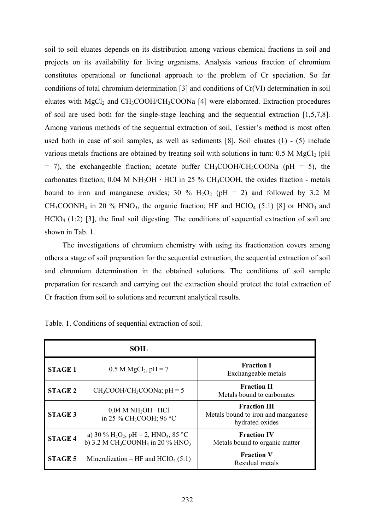soil to soil eluates depends on its distribution among various chemical fractions in soil and projects on its availability for living organisms. Analysis various fraction of chromium constitutes operational or functional approach to the problem of Cr speciation. So far conditions of total chromium determination [3] and conditions of Cr(VI) determination in soil eluates with  $MgCl<sub>2</sub>$  and  $CH<sub>3</sub>COOH/CH<sub>3</sub>COONa$  [4] were elaborated. Extraction procedures of soil are used both for the single-stage leaching and the sequential extraction [1,5,7,8]. Among various methods of the sequential extraction of soil, Tessier's method is most often used both in case of soil samples, as well as sediments [8]. Soil eluates (1) - (5) include various metals fractions are obtained by treating soil with solutions in turn:  $0.5$  M MgCl<sub>2</sub> (pH)  $=$  7), the exchangeable fraction; acetate buffer CH<sub>3</sub>COOH/CH<sub>3</sub>COONa (pH  $=$  5), the carbonates fraction;  $0.04$  M NH<sub>2</sub>OH  $\cdot$  HCl in 25 % CH<sub>3</sub>COOH, the oxides fraction - metals bound to iron and manganese oxides; 30 %  $H_2O_2$  (pH = 2) and followed by 3.2 M  $CH_3COONH_4$  in 20 % HNO<sub>3</sub>, the organic fraction; HF and HClO<sub>4</sub> (5:1) [8] or HNO<sub>3</sub> and  $HClO<sub>4</sub>$  (1:2) [3], the final soil digesting. The conditions of sequential extraction of soil are shown in Tab. 1.

The investigations of chromium chemistry with using its fractionation covers among others a stage of soil preparation for the sequential extraction, the sequential extraction of soil and chromium determination in the obtained solutions. The conditions of soil sample preparation for research and carrying out the extraction should protect the total extraction of Cr fraction from soil to solutions and recurrent analytical results.

|                | <b>SOIL</b>                                                                                                                 |                                                                              |
|----------------|-----------------------------------------------------------------------------------------------------------------------------|------------------------------------------------------------------------------|
| <b>STAGE 1</b> | $0.5 M MgCl2, pH = 7$                                                                                                       | <b>Fraction I</b><br>Exchangeable metals                                     |
| <b>STAGE 2</b> | $CH_3COOH/CH_3COONa$ ; pH = 5                                                                                               | <b>Fraction II</b><br>Metals bound to carbonates                             |
| <b>STAGE 3</b> | $0.04$ M NH <sub>2</sub> OH $\cdot$ HCl<br>in 25 % CH <sub>3</sub> COOH; 96 °C                                              | <b>Fraction III</b><br>Metals bound to iron and manganese<br>hydrated oxides |
| <b>STAGE 4</b> | a) 30 % $H_2O_2$ ; pH = 2, HNO <sub>3</sub> ; 85 °C<br>b) 3.2 M CH <sub>3</sub> COONH <sub>4</sub> in 20 % HNO <sub>3</sub> | <b>Fraction IV</b><br>Metals bound to organic matter                         |
| <b>STAGE 5</b> | Mineralization – HF and $HClO4(5:1)$                                                                                        | <b>Fraction V</b><br>Residual metals                                         |

Table. 1. Conditions of sequential extraction of soil.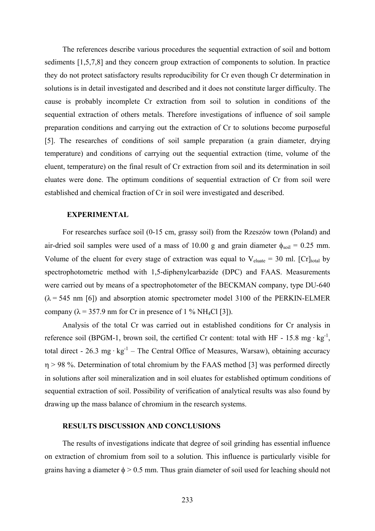The references describe various procedures the sequential extraction of soil and bottom sediments [1,5,7,8] and they concern group extraction of components to solution. In practice they do not protect satisfactory results reproducibility for Cr even though Cr determination in solutions is in detail investigated and described and it does not constitute larger difficulty. The cause is probably incomplete Cr extraction from soil to solution in conditions of the sequential extraction of others metals. Therefore investigations of influence of soil sample preparation conditions and carrying out the extraction of Cr to solutions become purposeful [5]. The researches of conditions of soil sample preparation (a grain diameter, drying temperature) and conditions of carrying out the sequential extraction (time, volume of the eluent, temperature) on the final result of Cr extraction from soil and its determination in soil eluates were done. The optimum conditions of sequential extraction of Cr from soil were established and chemical fraction of Cr in soil were investigated and described.

### **EXPERIMENTAL**

For researches surface soil (0-15 cm, grassy soil) from the Rzeszów town (Poland) and air-dried soil samples were used of a mass of 10.00 g and grain diameter  $\phi_{\text{soil}} = 0.25$  mm. Volume of the eluent for every stage of extraction was equal to  $V_{\text{cluster}} = 30$  ml. [Cr]<sub>total</sub> by spectrophotometric method with 1,5-diphenylcarbazide (DPC) and FAAS. Measurements were carried out by means of a spectrophotometer of the BECKMAN company, type DU-640  $(\lambda = 545 \text{ nm } [6])$  and absorption atomic spectrometer model 3100 of the PERKIN-ELMER company ( $\lambda$  = 357.9 nm for Cr in presence of 1 % NH<sub>4</sub>Cl [3]).

Analysis of the total Cr was carried out in established conditions for Cr analysis in reference soil (BPGM-1, brown soil, the certified Cr content: total with HF - 15.8 mg  $\cdot$  kg<sup>-1</sup>, total direct - 26.3 mg ·  $kg^{-1}$  – The Central Office of Measures, Warsaw), obtaining accuracy η > 98 %. Determination of total chromium by the FAAS method [3] was performed directly in solutions after soil mineralization and in soil eluates for established optimum conditions of sequential extraction of soil. Possibility of verification of analytical results was also found by drawing up the mass balance of chromium in the research systems.

## **RESULTS DISCUSSION AND CONCLUSIONS**

The results of investigations indicate that degree of soil grinding has essential influence on extraction of chromium from soil to a solution. This influence is particularly visible for grains having a diameter  $\phi > 0.5$  mm. Thus grain diameter of soil used for leaching should not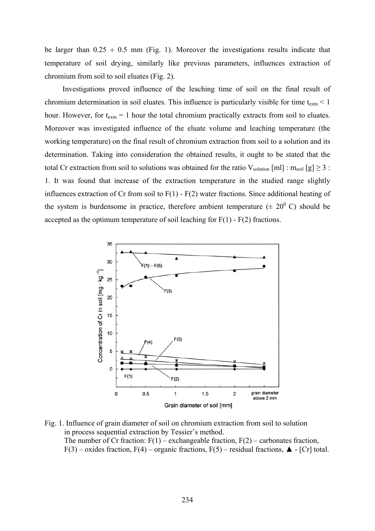be larger than  $0.25 \div 0.5$  mm (Fig. 1). Moreover the investigations results indicate that temperature of soil drying, similarly like previous parameters, influences extraction of chromium from soil to soil eluates (Fig. 2).

Investigations proved influence of the leaching time of soil on the final result of chromium determination in soil eluates. This influence is particularly visible for time  $t_{\text{extn}} < 1$ hour. However, for  $t_{\text{extn}} = 1$  hour the total chromium practically extracts from soil to eluates. Moreover was investigated influence of the eluate volume and leaching temperature (the working temperature) on the final result of chromium extraction from soil to a solution and its determination. Taking into consideration the obtained results, it ought to be stated that the total Cr extraction from soil to solutions was obtained for the ratio  $V_{solution}[m]$  :  $m_{soil}[g] \ge 3$ : 1. It was found that increase of the extraction temperature in the studied range slightly influences extraction of Cr from soil to F(1) - F(2) water fractions. Since additional heating of the system is burdensome in practice, therefore ambient temperature  $(± 20<sup>0</sup> C)$  should be accepted as the optimum temperature of soil leaching for  $F(1)$  -  $F(2)$  fractions.



Fig. 1. Influence of grain diameter of soil on chromium extraction from soil to solution in process sequential extraction by Tessier's method. The number of Cr fraction:  $F(1)$  – exchangeable fraction,  $F(2)$  – carbonates fraction, F(3) – oxides fraction, F(4) – organic fractions, F(5) – residual fractions,  $\blacktriangle$  - [Cr] total.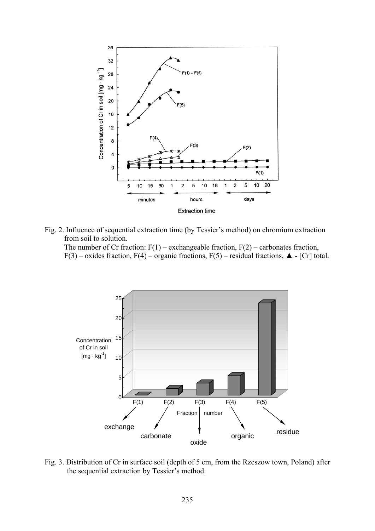

Fig. 2. Influence of sequential extraction time (by Tessier's method) on chromium extraction from soil to solution.

The number of Cr fraction:  $F(1)$  – exchangeable fraction,  $F(2)$  – carbonates fraction, F(3) – oxides fraction, F(4) – organic fractions, F(5) – residual fractions,  $\blacktriangle$  - [Cr] total.



Fig. 3. Distribution of Cr in surface soil (depth of 5 cm, from the Rzeszow town, Poland) after the sequential extraction by Tessier's method.